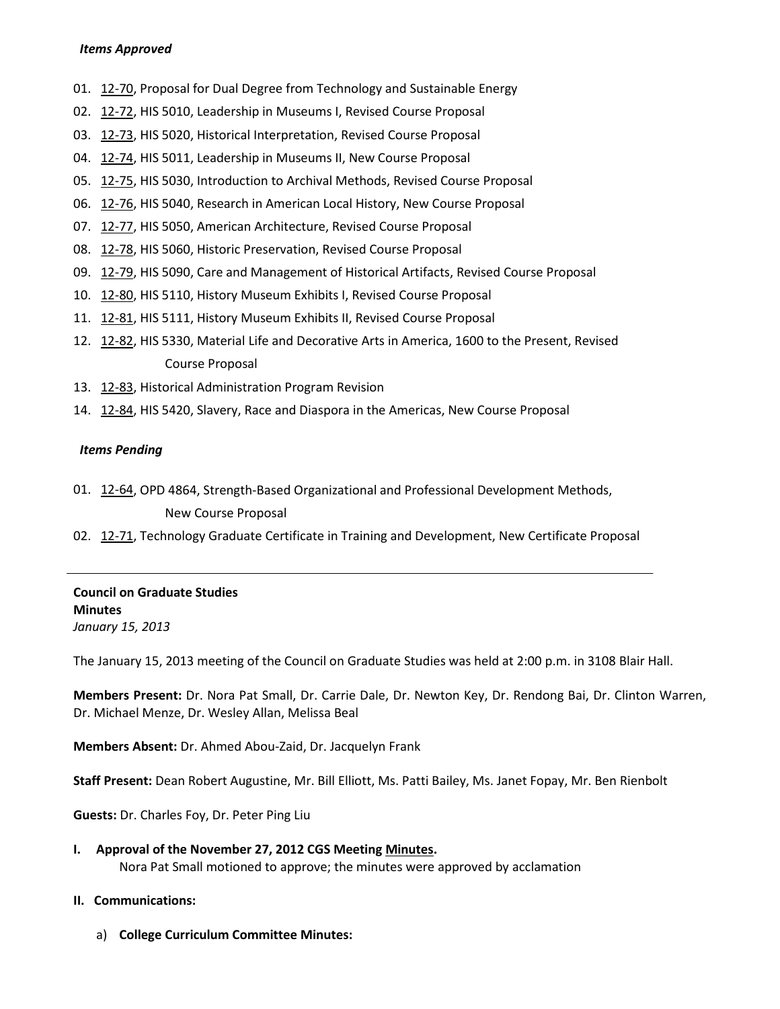#### *Items Approved*

- 01. [12-70,](http://castle.eiu.edu/~eiucgs/currentagendaitems/agenda12-70.pdf) Proposal for Dual Degree from Technology and Sustainable Energy
- 02. [12-72,](http://castle.eiu.edu/~eiucgs/currentagendaitems/agenda12-72.pdf) HIS 5010, Leadership in Museums I, Revised Course Proposal
- 03. [12-73,](http://castle.eiu.edu/~eiucgs/currentagendaitems/agenda12-73.pdf) HIS 5020, Historical Interpretation, Revised Course Proposal
- 04. [12-74,](http://castle.eiu.edu/~eiucgs/currentagendaitems/agenda12-74.pdf) HIS 5011, Leadership in Museums II, New Course Proposal
- 05. [12-75,](http://castle.eiu.edu/~eiucgs/currentagendaitems/agenda12-75.pdf) HIS 5030, Introduction to Archival Methods, Revised Course Proposal
- 06. [12-76,](http://castle.eiu.edu/~eiucgs/currentagendaitems/agenda12-76.pdf) HIS 5040, Research in American Local History, New Course Proposal
- 07. [12-77,](http://castle.eiu.edu/~eiucgs/currentagendaitems/agenda12-77.pdf) HIS 5050, American Architecture, Revised Course Proposal
- 08. [12-78,](http://castle.eiu.edu/~eiucgs/currentagendaitems/agenda12-78.pdf) HIS 5060, Historic Preservation, Revised Course Proposal
- 09. [12-79,](http://castle.eiu.edu/~eiucgs/currentagendaitems/agenda12-79.pdf) HIS 5090, Care and Management of Historical Artifacts, Revised Course Proposal
- 10. [12-80,](http://castle.eiu.edu/~eiucgs/currentagendaitems/agenda12-80.pdf) HIS 5110, History Museum Exhibits I, Revised Course Proposal
- 11. [12-81,](http://castle.eiu.edu/~eiucgs/currentagendaitems/agenda12-81.pdf) HIS 5111, History Museum Exhibits II, Revised Course Proposal
- 12. [12-82,](http://castle.eiu.edu/~eiucgs/currentagendaitems/agenda12-82.pdf) HIS 5330, Material Life and Decorative Arts in America, 1600 to the Present, Revised Course Proposal
- 13. [12-83,](http://castle.eiu.edu/~eiucgs/currentagendaitems/agenda12-83.pdf) Historical Administration Program Revision
- 14. [12-84,](http://castle.eiu.edu/~eiucgs/currentagendaitems/agenda12-84.pdf) HIS 5420, Slavery, Race and Diaspora in the Americas, New Course Proposal

#### *Items Pending*

- 01. [12-64,](http://castle.eiu.edu/~eiucgs/currentagendaitems/agenda12-64.pdf) OPD 4864, Strength-Based Organizational and Professional Development Methods, New Course Proposal
- 02. [12-71,](http://castle.eiu.edu/~eiucgs/currentagendaitems/agenda12-71.pdf) Technology Graduate Certificate in Training and Development, New Certificate Proposal

### **Council on Graduate Studies Minutes** *January 15, 2013*

The January 15, 2013 meeting of the Council on Graduate Studies was held at 2:00 p.m. in 3108 Blair Hall.

**Members Present:** Dr. Nora Pat Small, Dr. Carrie Dale, Dr. Newton Key, Dr. Rendong Bai, Dr. Clinton Warren, Dr. Michael Menze, Dr. Wesley Allan, Melissa Beal

**Members Absent:** Dr. Ahmed Abou-Zaid, Dr. Jacquelyn Frank

**Staff Present:** Dean Robert Augustine, Mr. Bill Elliott, Ms. Patti Bailey, Ms. Janet Fopay, Mr. Ben Rienbolt

**Guests:** Dr. Charles Foy, Dr. Peter Ping Liu

**I. Approval of the November 27, 2012 CGS Meetin[g Minutes.](http://castle.eiu.edu/eiucgs/currentminutes/Minutes11-27-12.pdf)** Nora Pat Small motioned to approve; the minutes were approved by acclamation

### **II. Communications:**

a) **College Curriculum Committee Minutes:**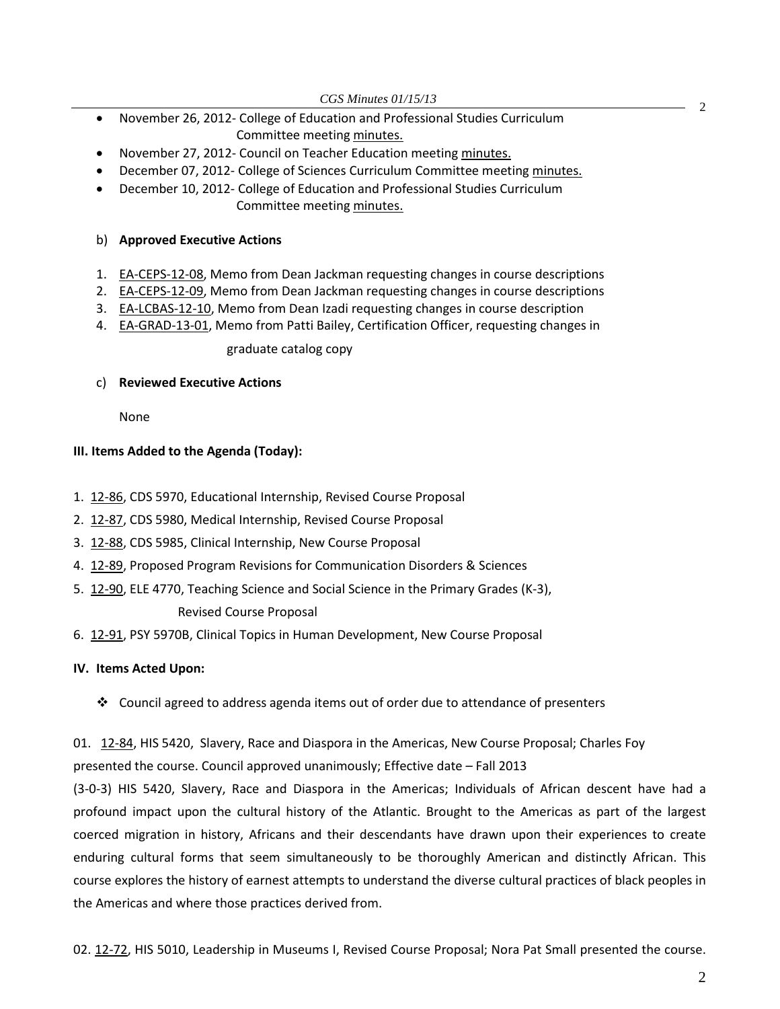*CGS Minutes 01/15/13*

- <sup>2</sup> November 26, 2012- College of Education and Professional Studies Curriculum Committee meetin[g minutes.](http://castle.eiu.edu/~eiucgs/currentagendaitems/CEPSMin11-26-12.pdf)
- November 27, 2012- Council on Teacher Education meeting [minutes.](http://castle.eiu.edu/~eiucgs/currentagendaitems/COTEMin11-27-12.pdf)
- December 07, 2012- College of Sciences Curriculum Committee meeting [minutes.](http://castle.eiu.edu/~eiucgs/currentagendaitems/COSMin12-07-12.pdf)
- December 10, 2012- College of Education and Professional Studies Curriculum Committee meetin[g minutes.](http://castle.eiu.edu/~eiucgs/currentagendaitems/CEPSMin12-10-12.pdf)

### b) **Approved Executive Actions**

- 1. [EA-CEPS-12-08,](http://castle.eiu.edu/~eiucgs/exec-actions/EA-CEPS-12-08.pdf) Memo from Dean Jackman requesting changes in course descriptions
- 2. [EA-CEPS-12-09,](http://castle.eiu.edu/~eiucgs/exec-actions/EA-CEPS-12-09.pdf) Memo from Dean Jackman requesting changes in course descriptions
- 3. [EA-LCBAS-12-10,](http://castle.eiu.edu/~eiucgs/exec-actions/EA-LCBAS-12-10.pdf) Memo from Dean Izadi requesting changes in course description
- 4. [EA-GRAD-13-01,](http://castle.eiu.edu/~eiucgs/exec-actions/EA-GRAD-13-01.pdf) Memo from Patti Bailey, Certification Officer, requesting changes in

### graduate catalog copy

### c) **Reviewed Executive Actions**

None

### **III. Items Added to the Agenda (Today):**

- 1. [12-86,](http://castle.eiu.edu/~eiucgs/currentagendaitems/agenda12-86.pdf) CDS 5970, Educational Internship, Revised Course Proposal
- 2. [12-87,](http://castle.eiu.edu/~eiucgs/currentagendaitems/agenda12-87.pdf) CDS 5980, Medical Internship, Revised Course Proposal
- 3. [12-88,](http://castle.eiu.edu/~eiucgs/currentagendaitems/agenda12-88.pdf) CDS 5985, Clinical Internship, New Course Proposal
- 4. [12-89,](http://castle.eiu.edu/~eiucgs/currentagendaitems/agenda12-89.pdf) Proposed Program Revisions for Communication Disorders & Sciences
- 5. [12-90,](http://castle.eiu.edu/~eiucgs/currentagendaitems/agenda12-90.pdf) ELE 4770, Teaching Science and Social Science in the Primary Grades (K-3), Revised Course Proposal
- 6. [12-91,](http://castle.eiu.edu/~eiucgs/currentagendaitems/agenda12-91.pdf) PSY 5970B, Clinical Topics in Human Development, New Course Proposal

# **IV. Items Acted Upon:**

 $\div$  Council agreed to address agenda items out of order due to attendance of presenters

01. [12-84,](http://castle.eiu.edu/~eiucgs/currentagendaitems/agenda12-84.pdf) HIS 5420, Slavery, Race and Diaspora in the Americas, New Course Proposal; Charles Foy presented the course. Council approved unanimously; Effective date – Fall 2013

(3-0-3) HIS 5420, Slavery, Race and Diaspora in the Americas; Individuals of African descent have had a profound impact upon the cultural history of the Atlantic. Brought to the Americas as part of the largest coerced migration in history, Africans and their descendants have drawn upon their experiences to create enduring cultural forms that seem simultaneously to be thoroughly American and distinctly African. This course explores the history of earnest attempts to understand the diverse cultural practices of black peoples in the Americas and where those practices derived from.

02. [12-72,](http://castle.eiu.edu/~eiucgs/currentagendaitems/agenda12-72.pdf) HIS 5010, Leadership in Museums I, Revised Course Proposal; Nora Pat Small presented the course.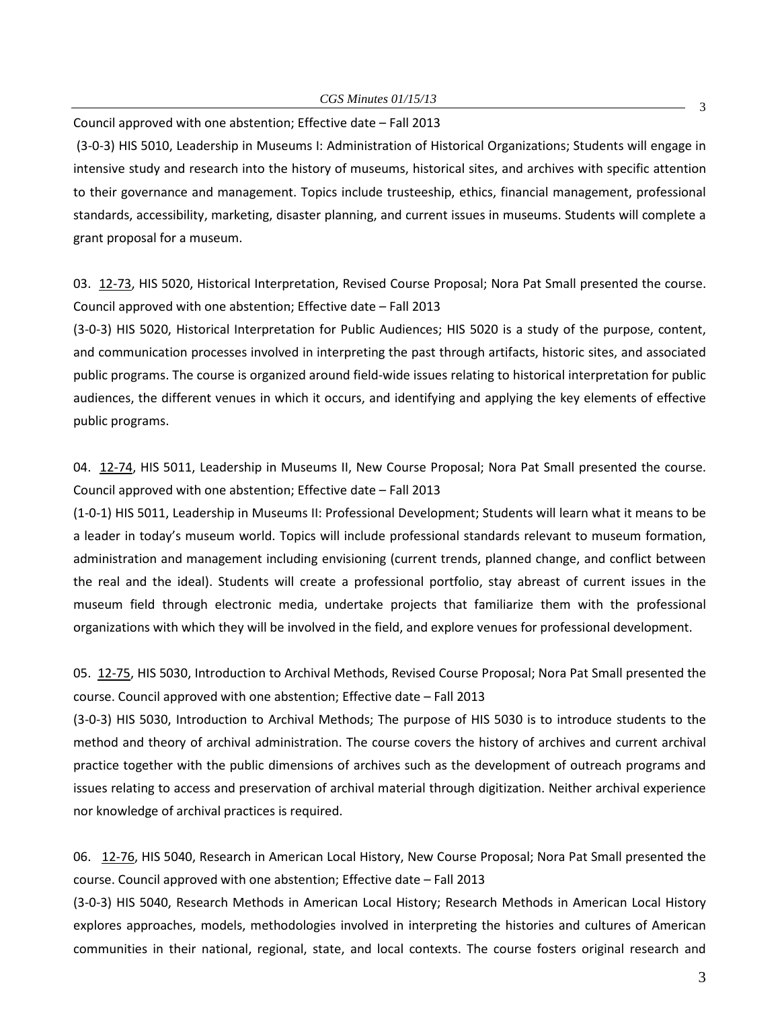Council approved with one abstention; Effective date – Fall 2013

(3-0-3) HIS 5010, Leadership in Museums I: Administration of Historical Organizations; Students will engage in intensive study and research into the history of museums, historical sites, and archives with specific attention to their governance and management. Topics include trusteeship, ethics, financial management, professional standards, accessibility, marketing, disaster planning, and current issues in museums. Students will complete a grant proposal for a museum.

03. [12-73,](http://castle.eiu.edu/~eiucgs/currentagendaitems/agenda12-73.pdf) HIS 5020, Historical Interpretation, Revised Course Proposal; Nora Pat Small presented the course. Council approved with one abstention; Effective date – Fall 2013

(3-0-3) HIS 5020, Historical Interpretation for Public Audiences; HIS 5020 is a study of the purpose, content, and communication processes involved in interpreting the past through artifacts, historic sites, and associated public programs. The course is organized around field-wide issues relating to historical interpretation for public audiences, the different venues in which it occurs, and identifying and applying the key elements of effective public programs.

04. [12-74,](http://castle.eiu.edu/~eiucgs/currentagendaitems/agenda12-74.pdf) HIS 5011, Leadership in Museums II, New Course Proposal; Nora Pat Small presented the course. Council approved with one abstention; Effective date – Fall 2013

(1-0-1) HIS 5011, Leadership in Museums II: Professional Development; Students will learn what it means to be a leader in today's museum world. Topics will include professional standards relevant to museum formation, administration and management including envisioning (current trends, planned change, and conflict between the real and the ideal). Students will create a professional portfolio, stay abreast of current issues in the museum field through electronic media, undertake projects that familiarize them with the professional organizations with which they will be involved in the field, and explore venues for professional development.

05. [12-75,](http://castle.eiu.edu/~eiucgs/currentagendaitems/agenda12-75.pdf) HIS 5030, Introduction to Archival Methods, Revised Course Proposal; Nora Pat Small presented the course. Council approved with one abstention; Effective date – Fall 2013

(3-0-3) HIS 5030, Introduction to Archival Methods; The purpose of HIS 5030 is to introduce students to the method and theory of archival administration. The course covers the history of archives and current archival practice together with the public dimensions of archives such as the development of outreach programs and issues relating to access and preservation of archival material through digitization. Neither archival experience nor knowledge of archival practices is required.

06. [12-76,](http://castle.eiu.edu/~eiucgs/currentagendaitems/agenda12-76.pdf) HIS 5040, Research in American Local History, New Course Proposal; Nora Pat Small presented the course. Council approved with one abstention; Effective date – Fall 2013

(3-0-3) HIS 5040, Research Methods in American Local History; Research Methods in American Local History explores approaches, models, methodologies involved in interpreting the histories and cultures of American communities in their national, regional, state, and local contexts. The course fosters original research and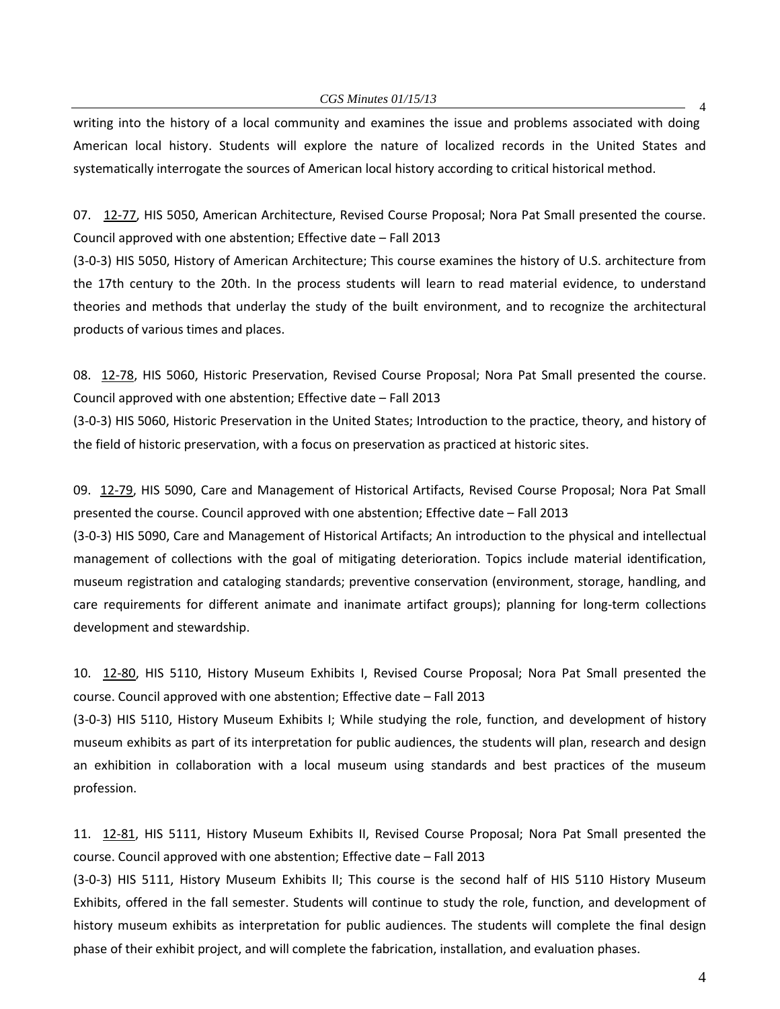*CGS Minutes 01/15/13*

writing into the history of a local community and examines the issue and problems associated with doing American local history. Students will explore the nature of localized records in the United States and systematically interrogate the sources of American local history according to critical historical method.

07. [12-77,](http://castle.eiu.edu/~eiucgs/currentagendaitems/agenda12-77.pdf) HIS 5050, American Architecture, Revised Course Proposal; Nora Pat Small presented the course. Council approved with one abstention; Effective date – Fall 2013

(3-0-3) HIS 5050, History of American Architecture; This course examines the history of U.S. architecture from the 17th century to the 20th. In the process students will learn to read material evidence, to understand theories and methods that underlay the study of the built environment, and to recognize the architectural products of various times and places.

08. [12-78,](http://castle.eiu.edu/~eiucgs/currentagendaitems/agenda12-78.pdf) HIS 5060, Historic Preservation, Revised Course Proposal; Nora Pat Small presented the course. Council approved with one abstention; Effective date – Fall 2013

(3-0-3) HIS 5060, Historic Preservation in the United States; Introduction to the practice, theory, and history of the field of historic preservation, with a focus on preservation as practiced at historic sites.

09. [12-79,](http://castle.eiu.edu/~eiucgs/currentagendaitems/agenda12-79.pdf) HIS 5090, Care and Management of Historical Artifacts, Revised Course Proposal; Nora Pat Small presented the course. Council approved with one abstention; Effective date – Fall 2013

(3-0-3) HIS 5090, Care and Management of Historical Artifacts; An introduction to the physical and intellectual management of collections with the goal of mitigating deterioration. Topics include material identification, museum registration and cataloging standards; preventive conservation (environment, storage, handling, and care requirements for different animate and inanimate artifact groups); planning for long-term collections development and stewardship.

10. [12-80,](http://castle.eiu.edu/~eiucgs/currentagendaitems/agenda12-80.pdf) HIS 5110, History Museum Exhibits I, Revised Course Proposal; Nora Pat Small presented the course. Council approved with one abstention; Effective date – Fall 2013

(3-0-3) HIS 5110, History Museum Exhibits I; While studying the role, function, and development of history museum exhibits as part of its interpretation for public audiences, the students will plan, research and design an exhibition in collaboration with a local museum using standards and best practices of the museum profession.

11. [12-81,](http://castle.eiu.edu/~eiucgs/currentagendaitems/agenda12-81.pdf) HIS 5111, History Museum Exhibits II, Revised Course Proposal; Nora Pat Small presented the course. Council approved with one abstention; Effective date – Fall 2013

(3-0-3) HIS 5111, History Museum Exhibits II; This course is the second half of HIS 5110 History Museum Exhibits, offered in the fall semester. Students will continue to study the role, function, and development of history museum exhibits as interpretation for public audiences. The students will complete the final design phase of their exhibit project, and will complete the fabrication, installation, and evaluation phases.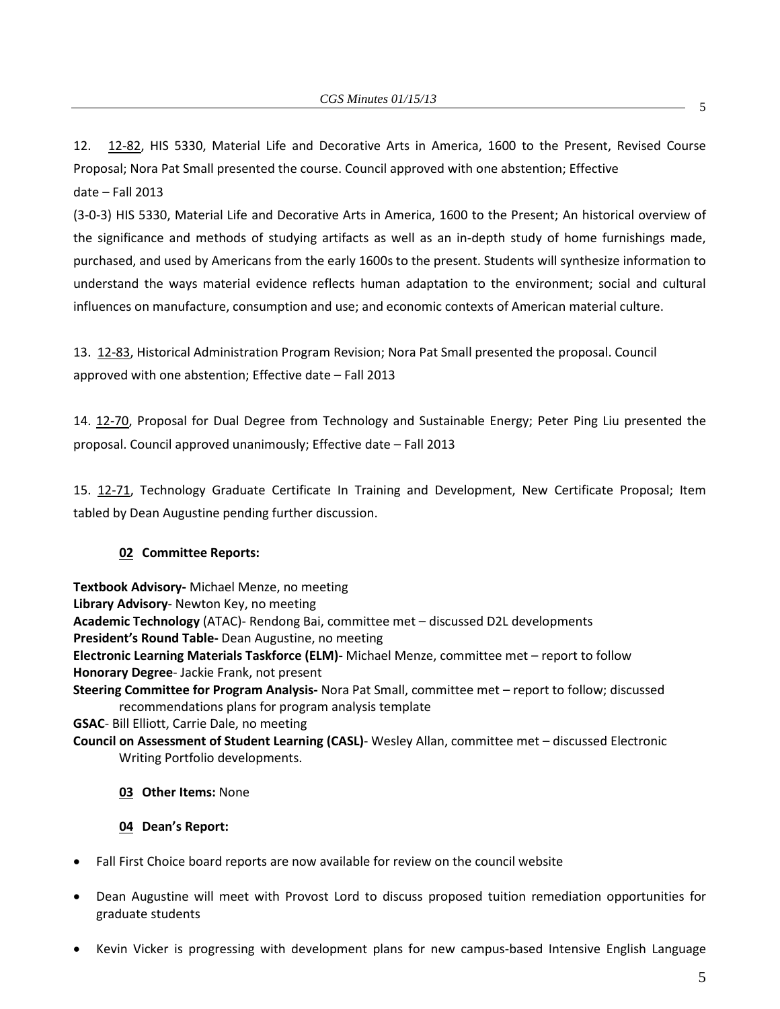12. [12-82,](http://castle.eiu.edu/~eiucgs/currentagendaitems/agenda12-82.pdf) HIS 5330, Material Life and Decorative Arts in America, 1600 to the Present, Revised Course Proposal; Nora Pat Small presented the course. Council approved with one abstention; Effective date – Fall 2013

(3-0-3) HIS 5330, Material Life and Decorative Arts in America, 1600 to the Present; An historical overview of the significance and methods of studying artifacts as well as an in-depth study of home furnishings made, purchased, and used by Americans from the early 1600s to the present. Students will synthesize information to understand the ways material evidence reflects human adaptation to the environment; social and cultural influences on manufacture, consumption and use; and economic contexts of American material culture.

13. [12-83,](http://castle.eiu.edu/~eiucgs/currentagendaitems/agenda12-83.pdf) Historical Administration Program Revision; Nora Pat Small presented the proposal. Council approved with one abstention; Effective date – Fall 2013

14. [12-70,](http://castle.eiu.edu/~eiucgs/currentagendaitems/agenda12-70.pdf) Proposal for Dual Degree from Technology and Sustainable Energy; Peter Ping Liu presented the proposal. Council approved unanimously; Effective date – Fall 2013

15. [12-71,](http://castle.eiu.edu/~eiucgs/currentagendaitems/agenda12-71.pdf) Technology Graduate Certificate In Training and Development, New Certificate Proposal; Item tabled by Dean Augustine pending further discussion.

# **02 Committee Reports:**

**Textbook Advisory-** Michael Menze, no meeting **Library Advisory**- Newton Key, no meeting **Academic Technology** (ATAC)- Rendong Bai, committee met – discussed D2L developments **President's Round Table-** Dean Augustine, no meeting **Electronic Learning Materials Taskforce (ELM)-** Michael Menze, committee met – report to follow **Honorary Degree**- Jackie Frank, not present **Steering Committee for Program Analysis-** Nora Pat Small, committee met – report to follow; discussed recommendations plans for program analysis template **GSAC**- Bill Elliott, Carrie Dale, no meeting **Council on Assessment of Student Learning (CASL)**- Wesley Allan, committee met – discussed Electronic

Writing Portfolio developments.

# **03 Other Items:** None

### **04 Dean's Report:**

- Fall First Choice board reports are now available for review on the council website
- Dean Augustine will meet with Provost Lord to discuss proposed tuition remediation opportunities for graduate students
- Kevin Vicker is progressing with development plans for new campus-based Intensive English Language